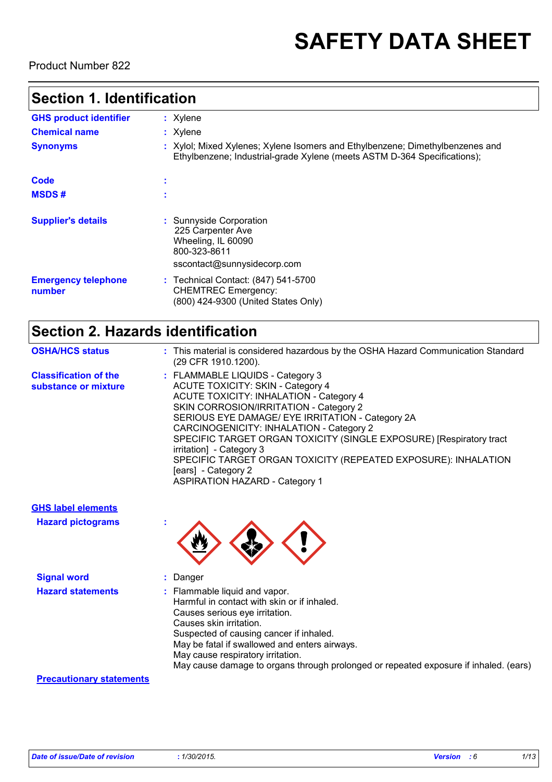# **SAFETY DATA SHEET**

Product Number 822

### **Section 1. Identification**

| <b>GHS product identifier</b>        | $:$ Xylene                                                                                                                                                |
|--------------------------------------|-----------------------------------------------------------------------------------------------------------------------------------------------------------|
| <b>Chemical name</b>                 | $:$ Xylene                                                                                                                                                |
| <b>Synonyms</b>                      | : Xylol; Mixed Xylenes; Xylene Isomers and Ethylbenzene; Dimethylbenzenes and<br>Ethylbenzene; Industrial-grade Xylene (meets ASTM D-364 Specifications); |
| Code                                 |                                                                                                                                                           |
| <b>MSDS#</b>                         |                                                                                                                                                           |
| <b>Supplier's details</b>            | : Sunnyside Corporation<br>225 Carpenter Ave<br>Wheeling, IL 60090<br>800-323-8611<br>sscontact@sunnysidecorp.com                                         |
| <b>Emergency telephone</b><br>number | : Technical Contact: (847) 541-5700<br><b>CHEMTREC Emergency:</b><br>(800) 424-9300 (United States Only)                                                  |

## **Section 2. Hazards identification**

| <b>OSHA/HCS status</b>                               | : This material is considered hazardous by the OSHA Hazard Communication Standard<br>(29 CFR 1910.1200).                                                                                                                                                                                                                                                                                                                                                                                                      |
|------------------------------------------------------|---------------------------------------------------------------------------------------------------------------------------------------------------------------------------------------------------------------------------------------------------------------------------------------------------------------------------------------------------------------------------------------------------------------------------------------------------------------------------------------------------------------|
| <b>Classification of the</b><br>substance or mixture | : FLAMMABLE LIQUIDS - Category 3<br><b>ACUTE TOXICITY: SKIN - Category 4</b><br><b>ACUTE TOXICITY: INHALATION - Category 4</b><br>SKIN CORROSION/IRRITATION - Category 2<br>SERIOUS EYE DAMAGE/ EYE IRRITATION - Category 2A<br>CARCINOGENICITY: INHALATION - Category 2<br>SPECIFIC TARGET ORGAN TOXICITY (SINGLE EXPOSURE) [Respiratory tract<br>irritation] - Category 3<br>SPECIFIC TARGET ORGAN TOXICITY (REPEATED EXPOSURE): INHALATION<br>[ears] - Category 2<br><b>ASPIRATION HAZARD - Category 1</b> |

| <b>GHS label elements</b><br><b>Hazard pictograms</b> | ×.                                                                                                                                                                                                                                                                                                                                                                           |
|-------------------------------------------------------|------------------------------------------------------------------------------------------------------------------------------------------------------------------------------------------------------------------------------------------------------------------------------------------------------------------------------------------------------------------------------|
| <b>Signal word</b><br><b>Hazard statements</b>        | Danger<br>: Flammable liquid and vapor.<br>Harmful in contact with skin or if inhaled.<br>Causes serious eye irritation.<br>Causes skin irritation.<br>Suspected of causing cancer if inhaled.<br>May be fatal if swallowed and enters airways.<br>May cause respiratory irritation.<br>May cause damage to organs through prolonged or repeated exposure if inhaled. (ears) |
| <b>Precautionary statements</b>                       |                                                                                                                                                                                                                                                                                                                                                                              |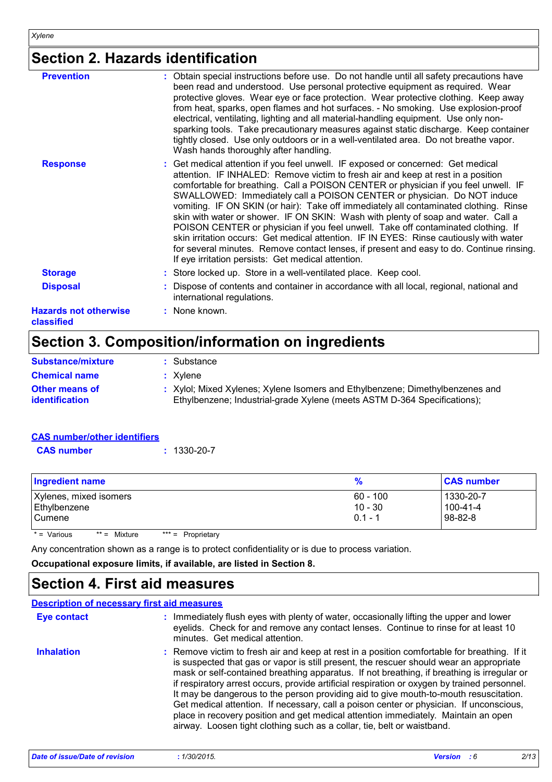## **Section 2. Hazards identification**

| <b>Prevention</b>                          | : Obtain special instructions before use. Do not handle until all safety precautions have<br>been read and understood. Use personal protective equipment as required. Wear<br>protective gloves. Wear eye or face protection. Wear protective clothing. Keep away<br>from heat, sparks, open flames and hot surfaces. - No smoking. Use explosion-proof<br>electrical, ventilating, lighting and all material-handling equipment. Use only non-<br>sparking tools. Take precautionary measures against static discharge. Keep container<br>tightly closed. Use only outdoors or in a well-ventilated area. Do not breathe vapor.<br>Wash hands thoroughly after handling.                                                                                                                                                                             |
|--------------------------------------------|-------------------------------------------------------------------------------------------------------------------------------------------------------------------------------------------------------------------------------------------------------------------------------------------------------------------------------------------------------------------------------------------------------------------------------------------------------------------------------------------------------------------------------------------------------------------------------------------------------------------------------------------------------------------------------------------------------------------------------------------------------------------------------------------------------------------------------------------------------|
| <b>Response</b>                            | : Get medical attention if you feel unwell. IF exposed or concerned: Get medical<br>attention. IF INHALED: Remove victim to fresh air and keep at rest in a position<br>comfortable for breathing. Call a POISON CENTER or physician if you feel unwell. IF<br>SWALLOWED: Immediately call a POISON CENTER or physician. Do NOT induce<br>vomiting. IF ON SKIN (or hair): Take off immediately all contaminated clothing. Rinse<br>skin with water or shower. IF ON SKIN: Wash with plenty of soap and water. Call a<br>POISON CENTER or physician if you feel unwell. Take off contaminated clothing. If<br>skin irritation occurs: Get medical attention. IF IN EYES: Rinse cautiously with water<br>for several minutes. Remove contact lenses, if present and easy to do. Continue rinsing.<br>If eye irritation persists: Get medical attention. |
| <b>Storage</b>                             | : Store locked up. Store in a well-ventilated place. Keep cool.                                                                                                                                                                                                                                                                                                                                                                                                                                                                                                                                                                                                                                                                                                                                                                                       |
| <b>Disposal</b>                            | : Dispose of contents and container in accordance with all local, regional, national and<br>international regulations.                                                                                                                                                                                                                                                                                                                                                                                                                                                                                                                                                                                                                                                                                                                                |
| <b>Hazards not otherwise</b><br>classified | : None known.                                                                                                                                                                                                                                                                                                                                                                                                                                                                                                                                                                                                                                                                                                                                                                                                                                         |
|                                            |                                                                                                                                                                                                                                                                                                                                                                                                                                                                                                                                                                                                                                                                                                                                                                                                                                                       |

## **Section 3. Composition/information on ingredients**

| <b>Substance/mixture</b>                | : Substance                                                                                                                                               |
|-----------------------------------------|-----------------------------------------------------------------------------------------------------------------------------------------------------------|
| <b>Chemical name</b>                    | $: X$ vlene                                                                                                                                               |
| <b>Other means of</b><br>identification | : Xylol; Mixed Xylenes; Xylene Isomers and Ethylbenzene; Dimethylbenzenes and<br>Ethylbenzene; Industrial-grade Xylene (meets ASTM D-364 Specifications); |

| <b>CAS number/other identifiers</b> |                   |
|-------------------------------------|-------------------|
| <b>CAS</b> number                   | $: 1330 - 20 - 7$ |

| 1330-20-7<br>$60 - 100$<br>$100 - 41 - 4$<br>$10 - 30$<br>98-82-8<br>$0.1 - 1$ |                                                                                                                  |
|--------------------------------------------------------------------------------|------------------------------------------------------------------------------------------------------------------|
|                                                                                |                                                                                                                  |
|                                                                                | A an experimental and a comparative of the montradial and distributed to the direct and a constant of the second |

Any concentration shown as a range is to protect confidentiality or is due to process variation.

**Occupational exposure limits, if available, are listed in Section 8.**

### **Section 4. First aid measures**

|                   | <b>Description of necessary first aid measures</b>                                                                                                                                                                                                                                                                                                                                                                                                                                                                                                                                                                                                                                                                                         |
|-------------------|--------------------------------------------------------------------------------------------------------------------------------------------------------------------------------------------------------------------------------------------------------------------------------------------------------------------------------------------------------------------------------------------------------------------------------------------------------------------------------------------------------------------------------------------------------------------------------------------------------------------------------------------------------------------------------------------------------------------------------------------|
| Eye contact       | : Immediately flush eyes with plenty of water, occasionally lifting the upper and lower<br>eyelids. Check for and remove any contact lenses. Continue to rinse for at least 10<br>minutes. Get medical attention.                                                                                                                                                                                                                                                                                                                                                                                                                                                                                                                          |
| <b>Inhalation</b> | : Remove victim to fresh air and keep at rest in a position comfortable for breathing. If it<br>is suspected that gas or vapor is still present, the rescuer should wear an appropriate<br>mask or self-contained breathing apparatus. If not breathing, if breathing is irregular or<br>if respiratory arrest occurs, provide artificial respiration or oxygen by trained personnel.<br>It may be dangerous to the person providing aid to give mouth-to-mouth resuscitation.<br>Get medical attention. If necessary, call a poison center or physician. If unconscious,<br>place in recovery position and get medical attention immediately. Maintain an open<br>airway. Loosen tight clothing such as a collar, tie, belt or waistband. |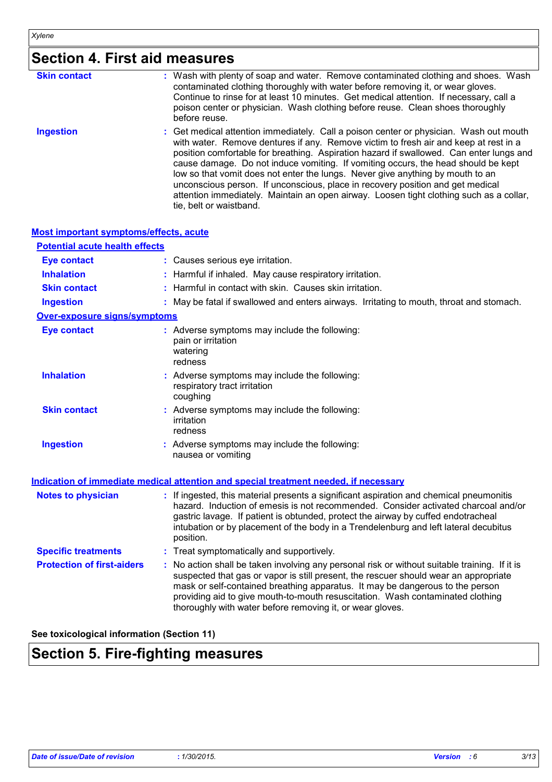## **Section 4. First aid measures**

| <b>Skin contact</b> | : Wash with plenty of soap and water. Remove contaminated clothing and shoes. Wash<br>contaminated clothing thoroughly with water before removing it, or wear gloves.<br>Continue to rinse for at least 10 minutes. Get medical attention. If necessary, call a<br>poison center or physician. Wash clothing before reuse. Clean shoes thoroughly<br>before reuse.                                                                                                                                                                                                                                                                                       |
|---------------------|----------------------------------------------------------------------------------------------------------------------------------------------------------------------------------------------------------------------------------------------------------------------------------------------------------------------------------------------------------------------------------------------------------------------------------------------------------------------------------------------------------------------------------------------------------------------------------------------------------------------------------------------------------|
| <b>Ingestion</b>    | : Get medical attention immediately. Call a poison center or physician. Wash out mouth<br>with water. Remove dentures if any. Remove victim to fresh air and keep at rest in a<br>position comfortable for breathing. Aspiration hazard if swallowed. Can enter lungs and<br>cause damage. Do not induce vomiting. If vomiting occurs, the head should be kept<br>low so that vomit does not enter the lungs. Never give anything by mouth to an<br>unconscious person. If unconscious, place in recovery position and get medical<br>attention immediately. Maintain an open airway. Loosen tight clothing such as a collar,<br>tie, belt or waistband. |

#### **Most important symptoms/effects, acute**

| <b>Potential acute health effects</b> |  |                                                                                                                                                                                                                                                                                                                                                                                                                     |  |
|---------------------------------------|--|---------------------------------------------------------------------------------------------------------------------------------------------------------------------------------------------------------------------------------------------------------------------------------------------------------------------------------------------------------------------------------------------------------------------|--|
| <b>Eye contact</b>                    |  | : Causes serious eye irritation.                                                                                                                                                                                                                                                                                                                                                                                    |  |
| <b>Inhalation</b>                     |  | : Harmful if inhaled. May cause respiratory irritation.                                                                                                                                                                                                                                                                                                                                                             |  |
| <b>Skin contact</b>                   |  | : Harmful in contact with skin. Causes skin irritation.                                                                                                                                                                                                                                                                                                                                                             |  |
| <b>Ingestion</b>                      |  | : May be fatal if swallowed and enters airways. Irritating to mouth, throat and stomach.                                                                                                                                                                                                                                                                                                                            |  |
| <b>Over-exposure signs/symptoms</b>   |  |                                                                                                                                                                                                                                                                                                                                                                                                                     |  |
| <b>Eye contact</b>                    |  | : Adverse symptoms may include the following:<br>pain or irritation<br>watering<br>redness                                                                                                                                                                                                                                                                                                                          |  |
| <b>Inhalation</b>                     |  | : Adverse symptoms may include the following:<br>respiratory tract irritation<br>coughing                                                                                                                                                                                                                                                                                                                           |  |
| <b>Skin contact</b>                   |  | : Adverse symptoms may include the following:<br>irritation<br>redness                                                                                                                                                                                                                                                                                                                                              |  |
| <b>Ingestion</b>                      |  | : Adverse symptoms may include the following:<br>nausea or vomiting                                                                                                                                                                                                                                                                                                                                                 |  |
|                                       |  | <b>Indication of immediate medical attention and special treatment needed, if necessary</b>                                                                                                                                                                                                                                                                                                                         |  |
| <b>Notes to physician</b>             |  | : If ingested, this material presents a significant aspiration and chemical pneumonitis<br>hazard. Induction of emesis is not recommended. Consider activated charcoal and/or<br>gastric lavage. If patient is obtunded, protect the airway by cuffed endotracheal<br>intubation or by placement of the body in a Trendelenburg and left lateral decubitus<br>position.                                             |  |
| <b>Specific treatments</b>            |  | : Treat symptomatically and supportively.                                                                                                                                                                                                                                                                                                                                                                           |  |
| <b>Protection of first-aiders</b>     |  | No action shall be taken involving any personal risk or without suitable training. If it is<br>suspected that gas or vapor is still present, the rescuer should wear an appropriate<br>mask or self-contained breathing apparatus. It may be dangerous to the person<br>providing aid to give mouth-to-mouth resuscitation. Wash contaminated clothing<br>thoroughly with water before removing it, or wear gloves. |  |

#### **See toxicological information (Section 11)**

## **Section 5. Fire-fighting measures**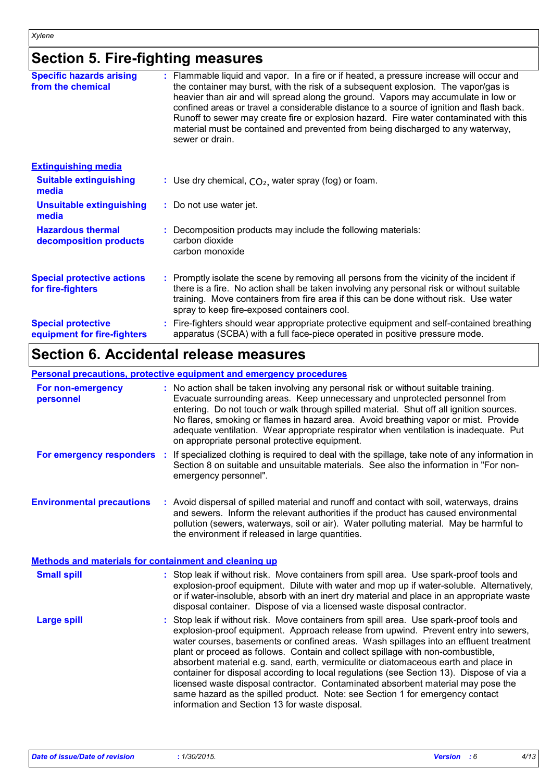### **Section 5. Fire-fighting measures**

| <b>Specific hazards arising</b><br>from the chemical     | Flammable liquid and vapor. In a fire or if heated, a pressure increase will occur and<br>the container may burst, with the risk of a subsequent explosion. The vapor/gas is<br>heavier than air and will spread along the ground. Vapors may accumulate in low or<br>confined areas or travel a considerable distance to a source of ignition and flash back.<br>Runoff to sewer may create fire or explosion hazard. Fire water contaminated with this<br>material must be contained and prevented from being discharged to any waterway,<br>sewer or drain. |
|----------------------------------------------------------|----------------------------------------------------------------------------------------------------------------------------------------------------------------------------------------------------------------------------------------------------------------------------------------------------------------------------------------------------------------------------------------------------------------------------------------------------------------------------------------------------------------------------------------------------------------|
| <b>Extinguishing media</b>                               |                                                                                                                                                                                                                                                                                                                                                                                                                                                                                                                                                                |
| <b>Suitable extinguishing</b><br>media                   | : Use dry chemical, $CO2$ , water spray (fog) or foam.                                                                                                                                                                                                                                                                                                                                                                                                                                                                                                         |
| <b>Unsuitable extinguishing</b><br>media                 | : Do not use water jet.                                                                                                                                                                                                                                                                                                                                                                                                                                                                                                                                        |
| <b>Hazardous thermal</b><br>decomposition products       | Decomposition products may include the following materials:<br>carbon dioxide<br>carbon monoxide                                                                                                                                                                                                                                                                                                                                                                                                                                                               |
| <b>Special protective actions</b><br>for fire-fighters   | : Promptly isolate the scene by removing all persons from the vicinity of the incident if<br>there is a fire. No action shall be taken involving any personal risk or without suitable<br>training. Move containers from fire area if this can be done without risk. Use water<br>spray to keep fire-exposed containers cool.                                                                                                                                                                                                                                  |
| <b>Special protective</b><br>equipment for fire-fighters | Fire-fighters should wear appropriate protective equipment and self-contained breathing<br>apparatus (SCBA) with a full face-piece operated in positive pressure mode.                                                                                                                                                                                                                                                                                                                                                                                         |

## **Section 6. Accidental release measures**

#### **Personal precautions, protective equipment and emergency procedures**

| For non-emergency<br>personnel                               |   | : No action shall be taken involving any personal risk or without suitable training.<br>Evacuate surrounding areas. Keep unnecessary and unprotected personnel from<br>entering. Do not touch or walk through spilled material. Shut off all ignition sources.<br>No flares, smoking or flames in hazard area. Avoid breathing vapor or mist. Provide<br>adequate ventilation. Wear appropriate respirator when ventilation is inadequate. Put<br>on appropriate personal protective equipment.                                                                                                                                                                                                                                                                    |  |
|--------------------------------------------------------------|---|--------------------------------------------------------------------------------------------------------------------------------------------------------------------------------------------------------------------------------------------------------------------------------------------------------------------------------------------------------------------------------------------------------------------------------------------------------------------------------------------------------------------------------------------------------------------------------------------------------------------------------------------------------------------------------------------------------------------------------------------------------------------|--|
| For emergency responders                                     | ÷ | If specialized clothing is required to deal with the spillage, take note of any information in<br>Section 8 on suitable and unsuitable materials. See also the information in "For non-<br>emergency personnel".                                                                                                                                                                                                                                                                                                                                                                                                                                                                                                                                                   |  |
| <b>Environmental precautions</b>                             |   | : Avoid dispersal of spilled material and runoff and contact with soil, waterways, drains<br>and sewers. Inform the relevant authorities if the product has caused environmental<br>pollution (sewers, waterways, soil or air). Water polluting material. May be harmful to<br>the environment if released in large quantities.                                                                                                                                                                                                                                                                                                                                                                                                                                    |  |
| <b>Methods and materials for containment and cleaning up</b> |   |                                                                                                                                                                                                                                                                                                                                                                                                                                                                                                                                                                                                                                                                                                                                                                    |  |
| <b>Small spill</b>                                           |   | : Stop leak if without risk. Move containers from spill area. Use spark-proof tools and<br>explosion-proof equipment. Dilute with water and mop up if water-soluble. Alternatively,<br>or if water-insoluble, absorb with an inert dry material and place in an appropriate waste<br>disposal container. Dispose of via a licensed waste disposal contractor.                                                                                                                                                                                                                                                                                                                                                                                                      |  |
| <b>Large spill</b>                                           |   | Stop leak if without risk. Move containers from spill area. Use spark-proof tools and<br>explosion-proof equipment. Approach release from upwind. Prevent entry into sewers,<br>water courses, basements or confined areas. Wash spillages into an effluent treatment<br>plant or proceed as follows. Contain and collect spillage with non-combustible,<br>absorbent material e.g. sand, earth, vermiculite or diatomaceous earth and place in<br>container for disposal according to local regulations (see Section 13). Dispose of via a<br>licensed waste disposal contractor. Contaminated absorbent material may pose the<br>same hazard as the spilled product. Note: see Section 1 for emergency contact<br>information and Section 13 for waste disposal. |  |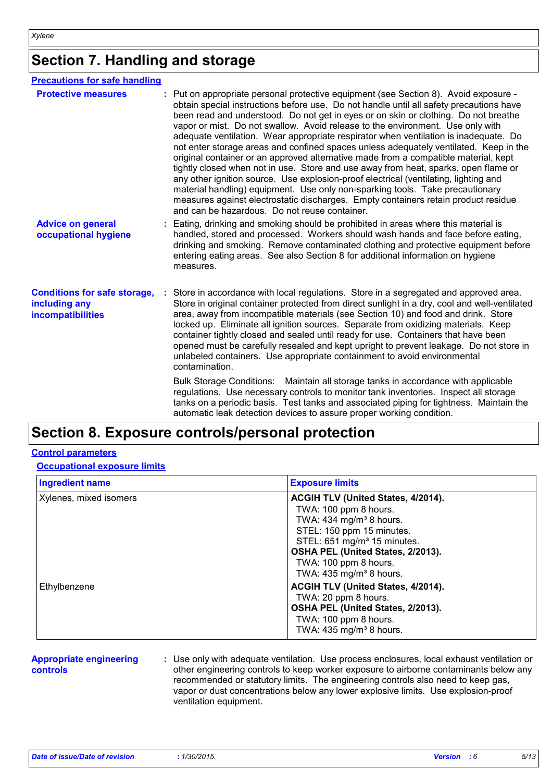### **Section 7. Handling and storage**

| <b>Precautions for safe handling</b> |                                                                                                                                                                                                                                                                                                                                                                                                                                                                                                                                                                                                                                                                                                                                                                                                                                                                                                                                                                                                                                       |
|--------------------------------------|---------------------------------------------------------------------------------------------------------------------------------------------------------------------------------------------------------------------------------------------------------------------------------------------------------------------------------------------------------------------------------------------------------------------------------------------------------------------------------------------------------------------------------------------------------------------------------------------------------------------------------------------------------------------------------------------------------------------------------------------------------------------------------------------------------------------------------------------------------------------------------------------------------------------------------------------------------------------------------------------------------------------------------------|
|                                      | Put on appropriate personal protective equipment (see Section 8). Avoid exposure -<br>obtain special instructions before use. Do not handle until all safety precautions have<br>been read and understood. Do not get in eyes or on skin or clothing. Do not breathe<br>vapor or mist. Do not swallow. Avoid release to the environment. Use only with<br>adequate ventilation. Wear appropriate respirator when ventilation is inadequate. Do<br>not enter storage areas and confined spaces unless adequately ventilated. Keep in the<br>original container or an approved alternative made from a compatible material, kept<br>tightly closed when not in use. Store and use away from heat, sparks, open flame or<br>any other ignition source. Use explosion-proof electrical (ventilating, lighting and<br>material handling) equipment. Use only non-sparking tools. Take precautionary<br>measures against electrostatic discharges. Empty containers retain product residue<br>and can be hazardous. Do not reuse container. |
|                                      | Eating, drinking and smoking should be prohibited in areas where this material is<br>handled, stored and processed. Workers should wash hands and face before eating,<br>drinking and smoking. Remove contaminated clothing and protective equipment before<br>entering eating areas. See also Section 8 for additional information on hygiene<br>measures.                                                                                                                                                                                                                                                                                                                                                                                                                                                                                                                                                                                                                                                                           |
|                                      | Store in accordance with local regulations. Store in a segregated and approved area.<br>Store in original container protected from direct sunlight in a dry, cool and well-ventilated<br>area, away from incompatible materials (see Section 10) and food and drink. Store<br>locked up. Eliminate all ignition sources. Separate from oxidizing materials. Keep<br>container tightly closed and sealed until ready for use. Containers that have been<br>opened must be carefully resealed and kept upright to prevent leakage. Do not store in<br>unlabeled containers. Use appropriate containment to avoid environmental<br>contamination.                                                                                                                                                                                                                                                                                                                                                                                        |
|                                      | Bulk Storage Conditions: Maintain all storage tanks in accordance with applicable<br>regulations. Use necessary controls to monitor tank inventories. Inspect all storage<br>tanks on a periodic basis. Test tanks and associated piping for tightness. Maintain the<br>automatic leak detection devices to assure proper working condition.                                                                                                                                                                                                                                                                                                                                                                                                                                                                                                                                                                                                                                                                                          |
|                                      |                                                                                                                                                                                                                                                                                                                                                                                                                                                                                                                                                                                                                                                                                                                                                                                                                                                                                                                                                                                                                                       |

### **Section 8. Exposure controls/personal protection**

#### **Control parameters**

**Occupational exposure limits**

| <b>Ingredient name</b> | <b>Exposure limits</b>                                                                                                                                                                                                                                                           |
|------------------------|----------------------------------------------------------------------------------------------------------------------------------------------------------------------------------------------------------------------------------------------------------------------------------|
| Xylenes, mixed isomers | ACGIH TLV (United States, 4/2014).<br>TWA: 100 ppm 8 hours.<br>TWA: $434$ mg/m <sup>3</sup> 8 hours.<br>STEL: 150 ppm 15 minutes.<br>STEL: 651 mg/m <sup>3</sup> 15 minutes.<br>OSHA PEL (United States, 2/2013).<br>TWA: 100 ppm 8 hours.<br>TWA: $435 \text{ mg/m}^3$ 8 hours. |
| Ethylbenzene           | ACGIH TLV (United States, 4/2014).<br>TWA: 20 ppm 8 hours.<br>OSHA PEL (United States, 2/2013).<br>TWA: 100 ppm 8 hours.<br>TWA: $435$ mg/m <sup>3</sup> 8 hours.                                                                                                                |

#### **Appropriate engineering controls**

**:** Use only with adequate ventilation. Use process enclosures, local exhaust ventilation or other engineering controls to keep worker exposure to airborne contaminants below any recommended or statutory limits. The engineering controls also need to keep gas, vapor or dust concentrations below any lower explosive limits. Use explosion-proof ventilation equipment.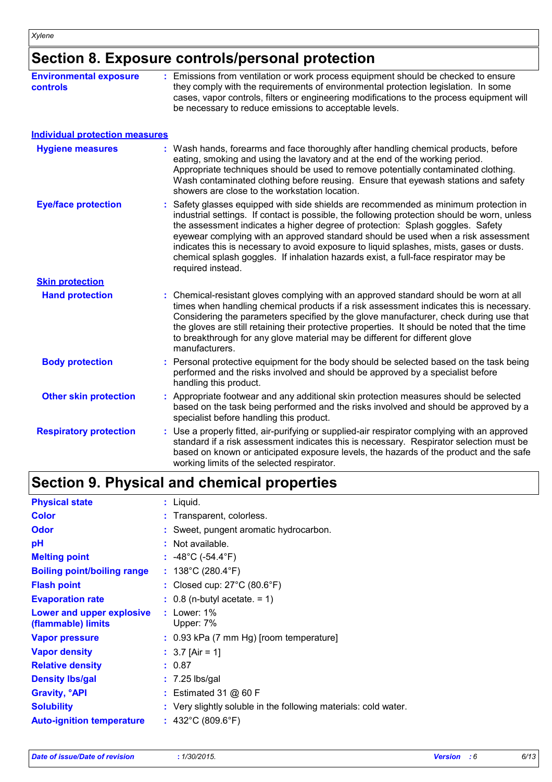## **Section 8. Exposure controls/personal protection**

| <b>Environmental exposure</b><br><b>controls</b> | : Emissions from ventilation or work process equipment should be checked to ensure<br>they comply with the requirements of environmental protection legislation. In some<br>cases, vapor controls, filters or engineering modifications to the process equipment will<br>be necessary to reduce emissions to acceptable levels.                                                                                                                                                                                                                                     |
|--------------------------------------------------|---------------------------------------------------------------------------------------------------------------------------------------------------------------------------------------------------------------------------------------------------------------------------------------------------------------------------------------------------------------------------------------------------------------------------------------------------------------------------------------------------------------------------------------------------------------------|
| <b>Individual protection measures</b>            |                                                                                                                                                                                                                                                                                                                                                                                                                                                                                                                                                                     |
| <b>Hygiene measures</b>                          | : Wash hands, forearms and face thoroughly after handling chemical products, before<br>eating, smoking and using the lavatory and at the end of the working period.<br>Appropriate techniques should be used to remove potentially contaminated clothing.<br>Wash contaminated clothing before reusing. Ensure that eyewash stations and safety<br>showers are close to the workstation location.                                                                                                                                                                   |
| <b>Eye/face protection</b>                       | : Safety glasses equipped with side shields are recommended as minimum protection in<br>industrial settings. If contact is possible, the following protection should be worn, unless<br>the assessment indicates a higher degree of protection: Splash goggles. Safety<br>eyewear complying with an approved standard should be used when a risk assessment<br>indicates this is necessary to avoid exposure to liquid splashes, mists, gases or dusts.<br>chemical splash goggles. If inhalation hazards exist, a full-face respirator may be<br>required instead. |
| <b>Skin protection</b>                           |                                                                                                                                                                                                                                                                                                                                                                                                                                                                                                                                                                     |
| <b>Hand protection</b>                           | : Chemical-resistant gloves complying with an approved standard should be worn at all<br>times when handling chemical products if a risk assessment indicates this is necessary.<br>Considering the parameters specified by the glove manufacturer, check during use that<br>the gloves are still retaining their protective properties. It should be noted that the time<br>to breakthrough for any glove material may be different for different glove<br>manufacturers.                                                                                          |
| <b>Body protection</b>                           | : Personal protective equipment for the body should be selected based on the task being<br>performed and the risks involved and should be approved by a specialist before<br>handling this product.                                                                                                                                                                                                                                                                                                                                                                 |
| <b>Other skin protection</b>                     | : Appropriate footwear and any additional skin protection measures should be selected<br>based on the task being performed and the risks involved and should be approved by a<br>specialist before handling this product.                                                                                                                                                                                                                                                                                                                                           |
| <b>Respiratory protection</b>                    | : Use a properly fitted, air-purifying or supplied-air respirator complying with an approved<br>standard if a risk assessment indicates this is necessary. Respirator selection must be<br>based on known or anticipated exposure levels, the hazards of the product and the safe<br>working limits of the selected respirator.                                                                                                                                                                                                                                     |

## **Section 9. Physical and chemical properties**

| <b>Physical state</b>                           | $:$ Liquid.                                                     |
|-------------------------------------------------|-----------------------------------------------------------------|
| <b>Color</b>                                    | : Transparent, colorless.                                       |
| <b>Odor</b>                                     | : Sweet, pungent aromatic hydrocarbon.                          |
| рH                                              | : Not available.                                                |
| <b>Melting point</b>                            | : $-48^{\circ}$ C ( $-54.4^{\circ}$ F)                          |
| <b>Boiling point/boiling range</b>              | : $138^{\circ}$ C (280.4 $^{\circ}$ F)                          |
| <b>Flash point</b>                              | : Closed cup: $27^{\circ}$ C (80.6 $^{\circ}$ F)                |
| <b>Evaporation rate</b>                         | $\therefore$ 0.8 (n-butyl acetate. = 1)                         |
| Lower and upper explosive<br>(flammable) limits | $:$ Lower: 1%<br>Upper: 7%                                      |
| <b>Vapor pressure</b>                           | $\therefore$ 0.93 kPa (7 mm Hg) [room temperature]              |
| <b>Vapor density</b>                            | : $3.7$ [Air = 1]                                               |
| <b>Relative density</b>                         | : 0.87                                                          |
| <b>Density Ibs/gal</b>                          | $: 7.25$ lbs/gal                                                |
| <b>Gravity, <sup>o</sup>API</b>                 | : Estimated 31 $@$ 60 F                                         |
| <b>Solubility</b>                               | : Very slightly soluble in the following materials: cold water. |
| <b>Auto-ignition temperature</b>                | : $432^{\circ}$ C (809.6 $^{\circ}$ F)                          |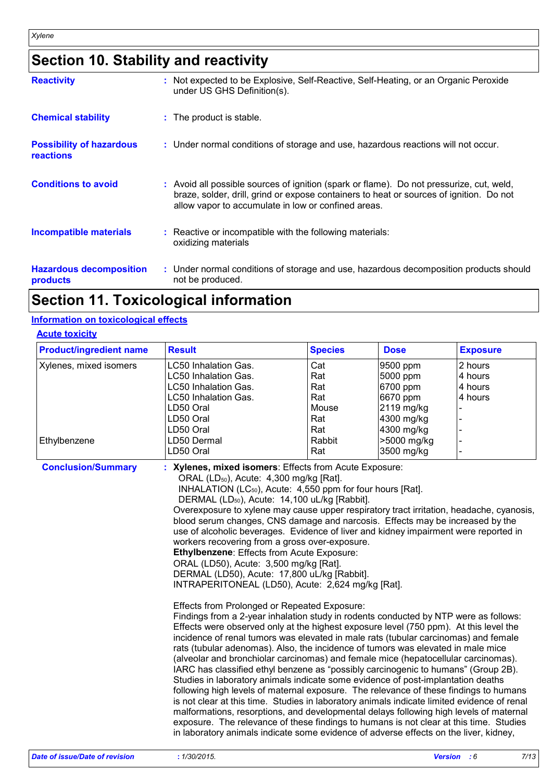### **Section 10. Stability and reactivity**

| <b>Reactivity</b>                                   | : Not expected to be Explosive, Self-Reactive, Self-Heating, or an Organic Peroxide<br>under US GHS Definition(s).                                                                                                                         |
|-----------------------------------------------------|--------------------------------------------------------------------------------------------------------------------------------------------------------------------------------------------------------------------------------------------|
| <b>Chemical stability</b>                           | : The product is stable.                                                                                                                                                                                                                   |
| <b>Possibility of hazardous</b><br><b>reactions</b> | : Under normal conditions of storage and use, hazardous reactions will not occur.                                                                                                                                                          |
| <b>Conditions to avoid</b>                          | : Avoid all possible sources of ignition (spark or flame). Do not pressurize, cut, weld,<br>braze, solder, drill, grind or expose containers to heat or sources of ignition. Do not<br>allow vapor to accumulate in low or confined areas. |
| <b>Incompatible materials</b>                       | : Reactive or incompatible with the following materials:<br>oxidizing materials                                                                                                                                                            |
| <b>Hazardous decomposition</b><br>products          | : Under normal conditions of storage and use, hazardous decomposition products should<br>not be produced.                                                                                                                                  |

### **Section 11. Toxicological information**

#### **Information on toxicological effects**

#### **Acute toxicity**

| <b>Product/ingredient name</b> | <b>Result</b>               | <b>Species</b> | <b>Dose</b> | <b>Exposure</b> |
|--------------------------------|-----------------------------|----------------|-------------|-----------------|
| Xylenes, mixed isomers         | LC50 Inhalation Gas.        | Cat            | 9500 ppm    | 2 hours         |
|                                | LC50 Inhalation Gas.        | Rat            | 5000 ppm    | 4 hours         |
|                                | LC50 Inhalation Gas.        | Rat            | 6700 ppm    | 4 hours         |
|                                | <b>LC50 Inhalation Gas.</b> | Rat            | 6670 ppm    | 4 hours         |
|                                | LD50 Oral                   | Mouse          | 2119 mg/kg  |                 |
|                                | LD50 Oral                   | Rat            | 4300 mg/kg  |                 |
|                                | LD50 Oral                   | Rat            | 4300 mg/kg  |                 |
| Ethylbenzene                   | LD50 Dermal                 | Rabbit         | >5000 mg/kg |                 |
|                                | LD50 Oral                   | Rat            | 3500 mg/kg  |                 |

**Conclusion/Summary : Xylenes, mixed isomers**: Effects from Acute Exposure: ORAL (LD50), Acute: 4,300 mg/kg [Rat]. INHALATION (LC50), Acute: 4,550 ppm for four hours [Rat]. DERMAL (LD<sub>50</sub>), Acute: 14,100 uL/kg [Rabbit]. Overexposure to xylene may cause upper respiratory tract irritation, headache, cyanosis, blood serum changes, CNS damage and narcosis. Effects may be increased by the use of alcoholic beverages. Evidence of liver and kidney impairment were reported in workers recovering from a gross over-exposure. **Ethylbenzene**: Effects from Acute Exposure: ORAL (LD50), Acute: 3,500 mg/kg [Rat]. DERMAL (LD50), Acute: 17,800 uL/kg [Rabbit]. INTRAPERITONEAL (LD50), Acute: 2,624 mg/kg [Rat]. Effects from Prolonged or Repeated Exposure: Findings from a 2-year inhalation study in rodents conducted by NTP were as follows: Effects were observed only at the highest exposure level (750 ppm). At this level the incidence of renal tumors was elevated in male rats (tubular carcinomas) and female rats (tubular adenomas). Also, the incidence of tumors was elevated in male mice (alveolar and bronchiolar carcinomas) and female mice (hepatocellular carcinomas). IARC has classified ethyl benzene as "possibly carcinogenic to humans" (Group 2B). Studies in laboratory animals indicate some evidence of post-implantation deaths following high levels of maternal exposure. The relevance of these findings to humans is not clear at this time. Studies in laboratory animals indicate limited evidence of renal malformations, resorptions, and developmental delays following high levels of maternal exposure. The relevance of these findings to humans is not clear at this time. Studies in laboratory animals indicate some evidence of adverse effects on the liver, kidney,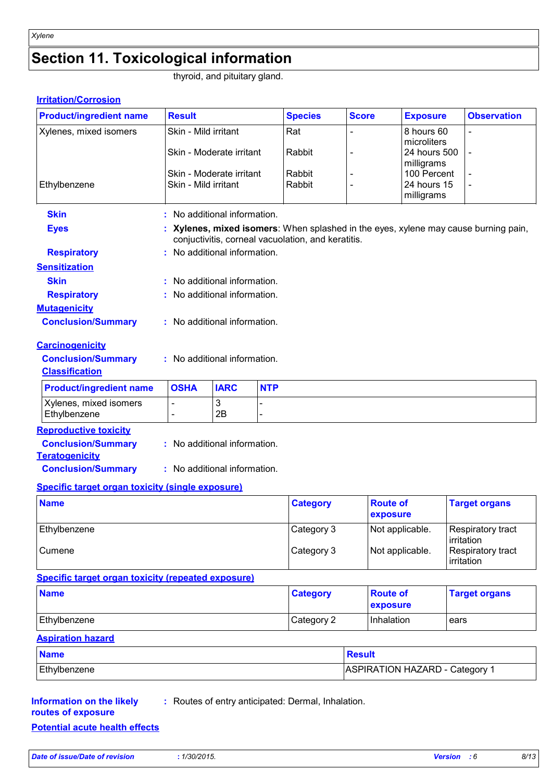## **Section 11. Toxicological information**

thyroid, and pituitary gland.

#### **Irritation/Corrosion**

| <b>Product/ingredient name</b>                            | <b>Result</b>                |                            |            | <b>Species</b>                                     | <b>Score</b>                | <b>Exposure</b>                       | <b>Observation</b>                                                                |
|-----------------------------------------------------------|------------------------------|----------------------------|------------|----------------------------------------------------|-----------------------------|---------------------------------------|-----------------------------------------------------------------------------------|
| Xylenes, mixed isomers                                    | Skin - Mild irritant         |                            |            | Rat                                                |                             | 8 hours 60                            | $\overline{a}$                                                                    |
|                                                           | Skin - Moderate irritant     |                            |            | Rabbit                                             |                             | microliters<br>24 hours 500           |                                                                                   |
|                                                           |                              |                            |            |                                                    |                             | milligrams                            |                                                                                   |
|                                                           | Skin - Moderate irritant     |                            |            | Rabbit                                             |                             | 100 Percent                           |                                                                                   |
| Ethylbenzene                                              | Skin - Mild irritant         |                            |            | Rabbit                                             |                             | 24 hours 15<br>milligrams             |                                                                                   |
|                                                           |                              |                            |            |                                                    |                             |                                       |                                                                                   |
| <b>Skin</b>                                               |                              | No additional information. |            |                                                    |                             |                                       |                                                                                   |
| <b>Eyes</b>                                               |                              |                            |            | conjuctivitis, corneal vacuolation, and keratitis. |                             |                                       | Xylenes, mixed isomers: When splashed in the eyes, xylene may cause burning pain, |
| <b>Respiratory</b>                                        | : No additional information. |                            |            |                                                    |                             |                                       |                                                                                   |
| <b>Sensitization</b>                                      |                              |                            |            |                                                    |                             |                                       |                                                                                   |
| <b>Skin</b>                                               |                              | No additional information. |            |                                                    |                             |                                       |                                                                                   |
| <b>Respiratory</b>                                        |                              | No additional information. |            |                                                    |                             |                                       |                                                                                   |
| <b>Mutagenicity</b>                                       |                              |                            |            |                                                    |                             |                                       |                                                                                   |
| <b>Conclusion/Summary</b>                                 | : No additional information. |                            |            |                                                    |                             |                                       |                                                                                   |
| <b>Carcinogenicity</b>                                    |                              |                            |            |                                                    |                             |                                       |                                                                                   |
| <b>Conclusion/Summary</b>                                 | : No additional information. |                            |            |                                                    |                             |                                       |                                                                                   |
| <b>Classification</b>                                     |                              |                            |            |                                                    |                             |                                       |                                                                                   |
| <b>Product/ingredient name</b>                            | <b>OSHA</b>                  | <b>IARC</b>                | <b>NTP</b> |                                                    |                             |                                       |                                                                                   |
| Xylenes, mixed isomers                                    |                              | 3                          |            |                                                    |                             |                                       |                                                                                   |
| Ethylbenzene                                              |                              | 2B                         |            |                                                    |                             |                                       |                                                                                   |
| <b>Reproductive toxicity</b>                              |                              |                            |            |                                                    |                             |                                       |                                                                                   |
| <b>Conclusion/Summary</b>                                 | : No additional information. |                            |            |                                                    |                             |                                       |                                                                                   |
| <b>Teratogenicity</b>                                     |                              |                            |            |                                                    |                             |                                       |                                                                                   |
| <b>Conclusion/Summary</b>                                 | : No additional information. |                            |            |                                                    |                             |                                       |                                                                                   |
| <b>Specific target organ toxicity (single exposure)</b>   |                              |                            |            |                                                    |                             |                                       |                                                                                   |
| <b>Name</b>                                               |                              |                            |            | <b>Category</b>                                    | <b>Route of</b><br>exposure |                                       | <b>Target organs</b>                                                              |
| Ethylbenzene                                              |                              |                            |            | Category 3                                         |                             | Not applicable.                       | Respiratory tract                                                                 |
| Cumene                                                    |                              |                            |            | Category 3                                         |                             | Not applicable.                       | irritation<br>Respiratory tract                                                   |
|                                                           |                              |                            |            |                                                    |                             |                                       | irritation                                                                        |
| <b>Specific target organ toxicity (repeated exposure)</b> |                              |                            |            |                                                    |                             |                                       |                                                                                   |
| <b>Name</b>                                               |                              |                            |            | <b>Category</b>                                    | <b>Route of</b>             |                                       | <b>Target organs</b>                                                              |
|                                                           |                              |                            |            |                                                    | exposure                    |                                       |                                                                                   |
| Ethylbenzene                                              |                              |                            | Category 2 | Inhalation                                         |                             | ears                                  |                                                                                   |
| <b>Aspiration hazard</b>                                  |                              |                            |            |                                                    |                             |                                       |                                                                                   |
| <b>Name</b>                                               |                              |                            |            |                                                    | <b>Result</b>               |                                       |                                                                                   |
| Ethylbenzene                                              |                              |                            |            |                                                    |                             | <b>ASPIRATION HAZARD - Category 1</b> |                                                                                   |

#### **Information on the likely routes of exposure**

- **:** Routes of entry anticipated: Dermal, Inhalation.
- **Potential acute health effects**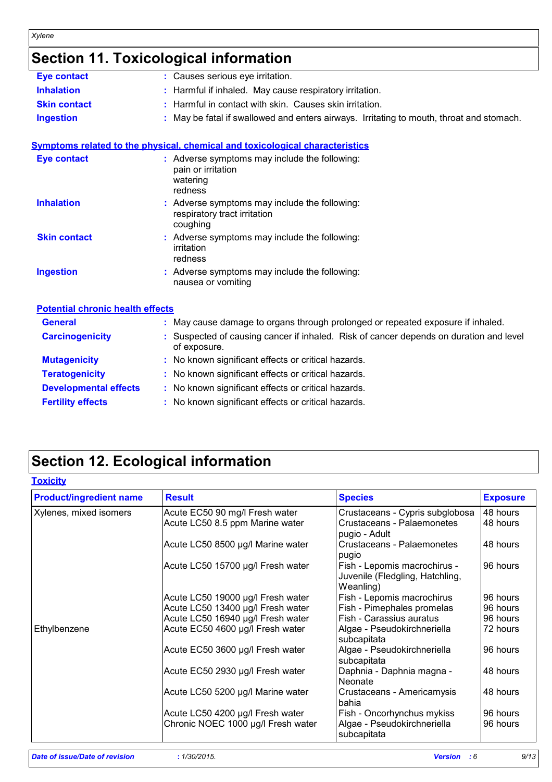## **Section 11. Toxicological information**

| <b>Eye contact</b>                      | : Causes serious eye irritation.                                                                     |
|-----------------------------------------|------------------------------------------------------------------------------------------------------|
| <b>Inhalation</b>                       | Harmful if inhaled. May cause respiratory irritation.                                                |
| <b>Skin contact</b>                     | Harmful in contact with skin. Causes skin irritation.                                                |
| <b>Ingestion</b>                        | May be fatal if swallowed and enters airways. Irritating to mouth, throat and stomach.               |
|                                         | <b>Symptoms related to the physical, chemical and toxicological characteristics</b>                  |
| <b>Eye contact</b>                      | : Adverse symptoms may include the following:<br>pain or irritation<br>watering<br>redness           |
| <b>Inhalation</b>                       | : Adverse symptoms may include the following:<br>respiratory tract irritation<br>coughing            |
| <b>Skin contact</b>                     | : Adverse symptoms may include the following:<br>irritation<br>redness                               |
| <b>Ingestion</b>                        | : Adverse symptoms may include the following:<br>nausea or vomiting                                  |
| <b>Potential chronic health effects</b> |                                                                                                      |
| <b>General</b>                          | : May cause damage to organs through prolonged or repeated exposure if inhaled.                      |
| <b>Carcinogenicity</b>                  | Suspected of causing cancer if inhaled. Risk of cancer depends on duration and level<br>of exposure. |
| <b>Mutagenicity</b>                     | No known significant effects or critical hazards.                                                    |
| <b>Teratogenicity</b>                   | No known significant effects or critical hazards.                                                    |
| <b>Developmental effects</b>            | : No known significant effects or critical hazards.                                                  |
| <b>Fertility effects</b>                | : No known significant effects or critical hazards.                                                  |
|                                         |                                                                                                      |

## **Section 12. Ecological information**

| <b>Product/ingredient name</b> | <b>Result</b>                      | <b>Species</b>                                                               | <b>Exposure</b> |
|--------------------------------|------------------------------------|------------------------------------------------------------------------------|-----------------|
| Xylenes, mixed isomers         | Acute EC50 90 mg/l Fresh water     | Crustaceans - Cypris subglobosa                                              | 48 hours        |
|                                | Acute LC50 8.5 ppm Marine water    | Crustaceans - Palaemonetes<br>pugio - Adult                                  | 48 hours        |
|                                | Acute LC50 8500 µg/l Marine water  | Crustaceans - Palaemonetes<br>pugio                                          | 48 hours        |
|                                | Acute LC50 15700 µg/l Fresh water  | Fish - Lepomis macrochirus -<br>Juvenile (Fledgling, Hatchling,<br>Weanling) | 96 hours        |
|                                | Acute LC50 19000 µg/l Fresh water  | Fish - Lepomis macrochirus                                                   | 96 hours        |
|                                | Acute LC50 13400 µg/l Fresh water  | Fish - Pimephales promelas                                                   | 96 hours        |
|                                | Acute LC50 16940 µg/l Fresh water  | Fish - Carassius auratus                                                     | 96 hours        |
| Ethylbenzene                   | Acute EC50 4600 µg/l Fresh water   | Algae - Pseudokirchneriella<br>subcapitata                                   | 72 hours        |
|                                | Acute EC50 3600 µg/l Fresh water   | Algae - Pseudokirchneriella<br>subcapitata                                   | 96 hours        |
|                                | Acute EC50 2930 µg/l Fresh water   | Daphnia - Daphnia magna -<br><b>Neonate</b>                                  | 48 hours        |
|                                | Acute LC50 5200 µg/l Marine water  | Crustaceans - Americamysis<br>bahia                                          | 48 hours        |
|                                | Acute LC50 4200 µg/l Fresh water   | Fish - Oncorhynchus mykiss                                                   | 96 hours        |
|                                | Chronic NOEC 1000 µg/l Fresh water | Algae - Pseudokirchneriella<br>subcapitata                                   | 96 hours        |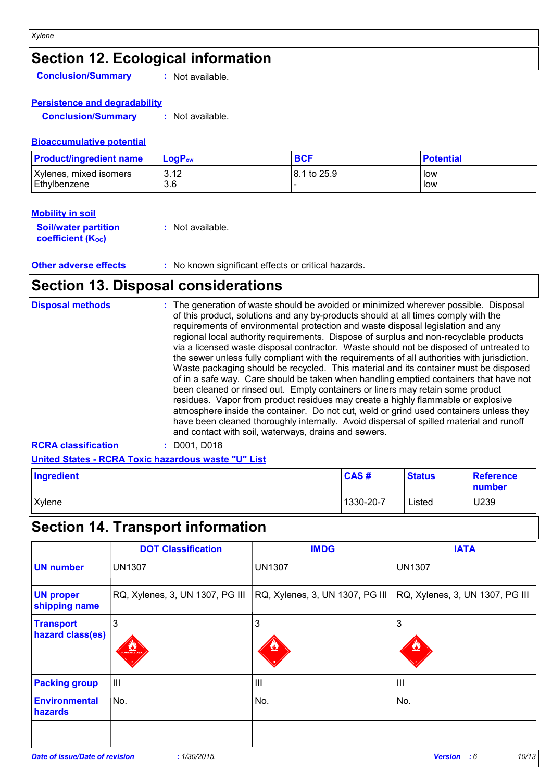## **Section 12. Ecological information**

**Conclusion/Summary :** Not available.

#### **Persistence and degradability**

**Conclusion/Summary :** Not available.

#### **Bioaccumulative potential**

| <b>Product/ingredient name</b> | LogP <sub>ow</sub> | <b>BCF</b>   | <b>Potential</b> |
|--------------------------------|--------------------|--------------|------------------|
| Xylenes, mixed isomers         | 3.12               | 18.1 to 25.9 | low              |
| Ethylbenzene                   | 3.6                |              | low              |

#### **Mobility in soil**

| <b>Soil/water partition</b> | : Not available. |
|-----------------------------|------------------|
| <b>coefficient (Koc)</b>    |                  |

#### **Other adverse effects** : No known significant effects or critical hazards.

### **Section 13. Disposal considerations**

| <b>Disposal methods</b>    | : The generation of waste should be avoided or minimized wherever possible. Disposal<br>of this product, solutions and any by-products should at all times comply with the<br>requirements of environmental protection and waste disposal legislation and any<br>regional local authority requirements. Dispose of surplus and non-recyclable products<br>via a licensed waste disposal contractor. Waste should not be disposed of untreated to<br>the sewer unless fully compliant with the requirements of all authorities with jurisdiction.<br>Waste packaging should be recycled. This material and its container must be disposed<br>of in a safe way. Care should be taken when handling emptied containers that have not<br>been cleaned or rinsed out. Empty containers or liners may retain some product<br>residues. Vapor from product residues may create a highly flammable or explosive<br>atmosphere inside the container. Do not cut, weld or grind used containers unless they<br>have been cleaned thoroughly internally. Avoid dispersal of spilled material and runoff<br>and contact with soil, waterways, drains and sewers. |
|----------------------------|------------------------------------------------------------------------------------------------------------------------------------------------------------------------------------------------------------------------------------------------------------------------------------------------------------------------------------------------------------------------------------------------------------------------------------------------------------------------------------------------------------------------------------------------------------------------------------------------------------------------------------------------------------------------------------------------------------------------------------------------------------------------------------------------------------------------------------------------------------------------------------------------------------------------------------------------------------------------------------------------------------------------------------------------------------------------------------------------------------------------------------------------------|
| <b>RCRA classification</b> | $:$ D001, D018                                                                                                                                                                                                                                                                                                                                                                                                                                                                                                                                                                                                                                                                                                                                                                                                                                                                                                                                                                                                                                                                                                                                       |

#### **United States - RCRA Toxic hazardous waste "U" List**

| Ingredient | <b>CAS#</b> | <b>Status</b> | Reference<br>number |
|------------|-------------|---------------|---------------------|
| Xylene     | 1330-20-7   | Listed        | U239                |

## **Section 14. Transport information**

|                                       | <b>DOT Classification</b>       | <b>IMDG</b>                     | <b>IATA</b>                     |
|---------------------------------------|---------------------------------|---------------------------------|---------------------------------|
| <b>UN number</b>                      | <b>UN1307</b>                   | <b>UN1307</b>                   | <b>UN1307</b>                   |
| <b>UN proper</b><br>shipping name     | RQ, Xylenes, 3, UN 1307, PG III | RQ, Xylenes, 3, UN 1307, PG III | RQ, Xylenes, 3, UN 1307, PG III |
| <b>Transport</b><br>hazard class(es)  | 3<br><b>LANMABLE LICK</b>       | 3                               | 3                               |
| <b>Packing group</b>                  | $\mathsf{III}$                  | III                             | $\mathbf{III}$                  |
| <b>Environmental</b><br>hazards       | No.                             | No.                             | No.                             |
|                                       |                                 |                                 |                                 |
| <b>Date of issue/Date of revision</b> | : 1/30/2015.                    |                                 | 10/13<br><b>Version</b><br>:6   |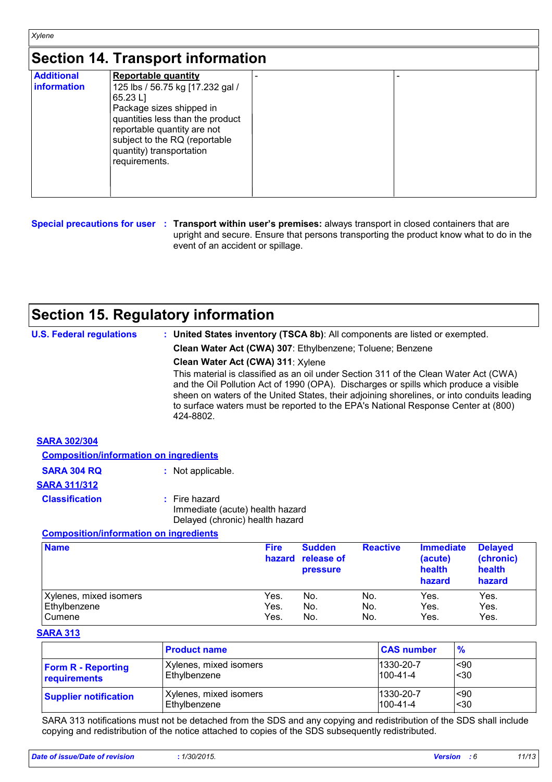### **Section 14. Transport information**

|                   | <u>UUULITEITUUDUULIIIUIIIUUUT</u> |  |
|-------------------|-----------------------------------|--|
| <b>Additional</b> | <b>Reportable quantity</b>        |  |
| information       | 125 lbs / 56.75 kg [17.232 gal /  |  |
|                   | 65.23 L                           |  |
|                   | Package sizes shipped in          |  |
|                   | quantities less than the product  |  |
|                   | reportable quantity are not       |  |
|                   | subject to the RQ (reportable     |  |
|                   | quantity) transportation          |  |
|                   | requirements.                     |  |
|                   |                                   |  |
|                   |                                   |  |
|                   |                                   |  |

**Special precautions for user Transport within user's premises:** always transport in closed containers that are **:** upright and secure. Ensure that persons transporting the product know what to do in the event of an accident or spillage.

### **Section 15. Regulatory information**

| <b>U.S. Federal regulations</b>               | : United States inventory (TSCA 8b): All components are listed or exempted.                                                                                                                                                                                                                                                                                                   |
|-----------------------------------------------|-------------------------------------------------------------------------------------------------------------------------------------------------------------------------------------------------------------------------------------------------------------------------------------------------------------------------------------------------------------------------------|
|                                               | Clean Water Act (CWA) 307: Ethylbenzene; Toluene; Benzene                                                                                                                                                                                                                                                                                                                     |
|                                               | Clean Water Act (CWA) 311: Xylene                                                                                                                                                                                                                                                                                                                                             |
|                                               | This material is classified as an oil under Section 311 of the Clean Water Act (CWA)<br>and the Oil Pollution Act of 1990 (OPA). Discharges or spills which produce a visible<br>sheen on waters of the United States, their adjoining shorelines, or into conduits leading<br>to surface waters must be reported to the EPA's National Response Center at (800)<br>424-8802. |
| <b>SARA 302/304</b>                           |                                                                                                                                                                                                                                                                                                                                                                               |
| <b>Composition/information on ingredients</b> |                                                                                                                                                                                                                                                                                                                                                                               |
| <b>SARA 304 RQ</b>                            | Not applicable.                                                                                                                                                                                                                                                                                                                                                               |
|                                               |                                                                                                                                                                                                                                                                                                                                                                               |

| <b>SARA 311/312</b>   |                                                                                     |
|-----------------------|-------------------------------------------------------------------------------------|
| <b>Classification</b> | : Fire hazard<br>Immediate (acute) health hazard<br>Delayed (chronic) health hazard |

#### **Composition/information on ingredients**

| <b>Name</b>            | <b>Fire</b><br>hazard | <b>Sudden</b><br>release of<br><b>pressure</b> | <b>Reactive</b> | <b>Immediate</b><br>(acute)<br>health<br>hazard | <b>Delayed</b><br>(chronic)<br>health<br>hazard |
|------------------------|-----------------------|------------------------------------------------|-----------------|-------------------------------------------------|-------------------------------------------------|
| Xylenes, mixed isomers | Yes.                  | No.                                            | No.             | Yes.                                            | Yes.                                            |
| Ethylbenzene           | Yes.                  | No.                                            | No.             | Yes.                                            | Yes.                                            |
| Cumene                 | Yes.                  | No.                                            | No.             | Yes.                                            | Yes.                                            |

#### **SARA 313**

|                              | <b>Product name</b>    | <b>CAS number</b> | $\frac{9}{6}$ |
|------------------------------|------------------------|-------------------|---------------|
| <b>Form R - Reporting</b>    | Xylenes, mixed isomers | 1330-20-7         | ∣<90          |
| requirements                 | Ethylbenzene           | $100 - 41 - 4$    | $30$          |
| <b>Supplier notification</b> | Xylenes, mixed isomers | 1330-20-7         | $90$          |
|                              | Ethylbenzene           | $100 - 41 - 4$    | $30$          |

SARA 313 notifications must not be detached from the SDS and any copying and redistribution of the SDS shall include copying and redistribution of the notice attached to copies of the SDS subsequently redistributed.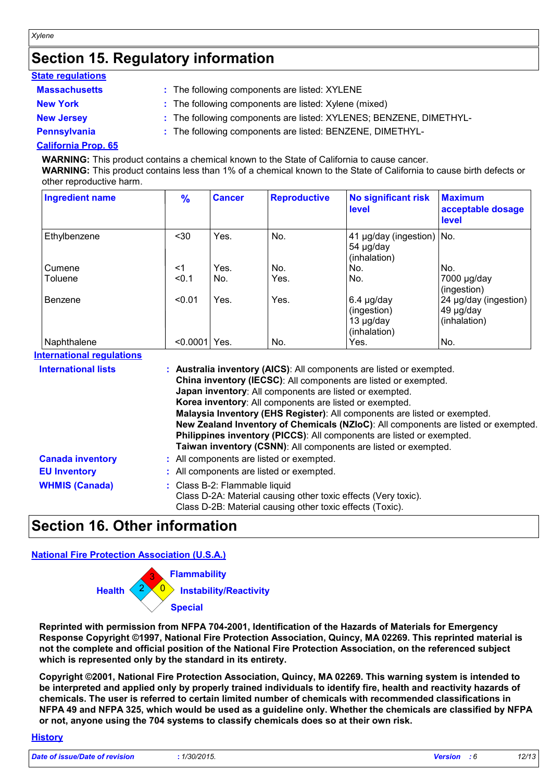### **Section 15. Regulatory information**

| <b>State regulations</b> |                                                                    |
|--------------------------|--------------------------------------------------------------------|
| <b>Massachusetts</b>     | : The following components are listed: XYLENE                      |
| <b>New York</b>          | : The following components are listed: Xylene (mixed)              |
| <b>New Jersey</b>        | : The following components are listed: XYLENES; BENZENE, DIMETHYL- |
| Pennsylvania             | : The following components are listed: BENZENE, DIMETHYL-          |
|                          |                                                                    |

#### **California Prop. 65**

*Xylene*

**WARNING:** This product contains a chemical known to the State of California to cause cancer. **WARNING:** This product contains less than 1% of a chemical known to the State of California to cause birth defects or

other reproductive harm.

| <b>Ingredient name</b> | $\frac{9}{6}$ | <b>Cancer</b> | <b>Reproductive</b> | <b>No significant risk</b><br>level                         | <b>Maximum</b><br>acceptable dosage<br><b>level</b> |
|------------------------|---------------|---------------|---------------------|-------------------------------------------------------------|-----------------------------------------------------|
| Ethylbenzene           | $30$          | Yes.          | No.                 | 41 µg/day (ingestion) No.<br>54 µg/day<br>(inhalation)      |                                                     |
| Cumene                 | <1            | Yes.          | No.                 | No.                                                         | No.                                                 |
| Toluene                | < 0.1         | No.           | Yes.                | No.                                                         | 7000 µg/day<br>(ingestion)                          |
| Benzene                | < 0.01        | Yes.          | Yes.                | $6.4 \mu g/day$<br>(ingestion)<br>13 µg/day<br>(inhalation) | 24 µg/day (ingestion)<br>49 µg/day<br>(inhalation)  |
| Naphthalene            | < 0.0001      | Yes.          | No.                 | Yes.                                                        | No.                                                 |

**International regulations**

| <b>International lists</b> | : Australia inventory (AICS): All components are listed or exempted.               |
|----------------------------|------------------------------------------------------------------------------------|
|                            | China inventory (IECSC): All components are listed or exempted.                    |
|                            | Japan inventory: All components are listed or exempted.                            |
|                            | Korea inventory: All components are listed or exempted.                            |
|                            | Malaysia Inventory (EHS Register): All components are listed or exempted.          |
|                            | New Zealand Inventory of Chemicals (NZIoC): All components are listed or exempted. |
|                            | Philippines inventory (PICCS): All components are listed or exempted.              |
|                            | Taiwan inventory (CSNN): All components are listed or exempted.                    |
| <b>Canada inventory</b>    | : All components are listed or exempted.                                           |
| <b>EU Inventory</b>        | : All components are listed or exempted.                                           |
| <b>WHMIS (Canada)</b>      | : Class B-2: Flammable liquid                                                      |
|                            | Class D-2A: Material causing other toxic effects (Very toxic).                     |
|                            | Class D-2B: Material causing other toxic effects (Toxic).                          |

### **Section 16. Other information**

#### **National Fire Protection Association (U.S.A.)**



**Reprinted with permission from NFPA 704-2001, Identification of the Hazards of Materials for Emergency Response Copyright ©1997, National Fire Protection Association, Quincy, MA 02269. This reprinted material is not the complete and official position of the National Fire Protection Association, on the referenced subject which is represented only by the standard in its entirety.**

**Copyright ©2001, National Fire Protection Association, Quincy, MA 02269. This warning system is intended to be interpreted and applied only by properly trained individuals to identify fire, health and reactivity hazards of chemicals. The user is referred to certain limited number of chemicals with recommended classifications in NFPA 49 and NFPA 325, which would be used as a guideline only. Whether the chemicals are classified by NFPA or not, anyone using the 704 systems to classify chemicals does so at their own risk.**

#### **History**